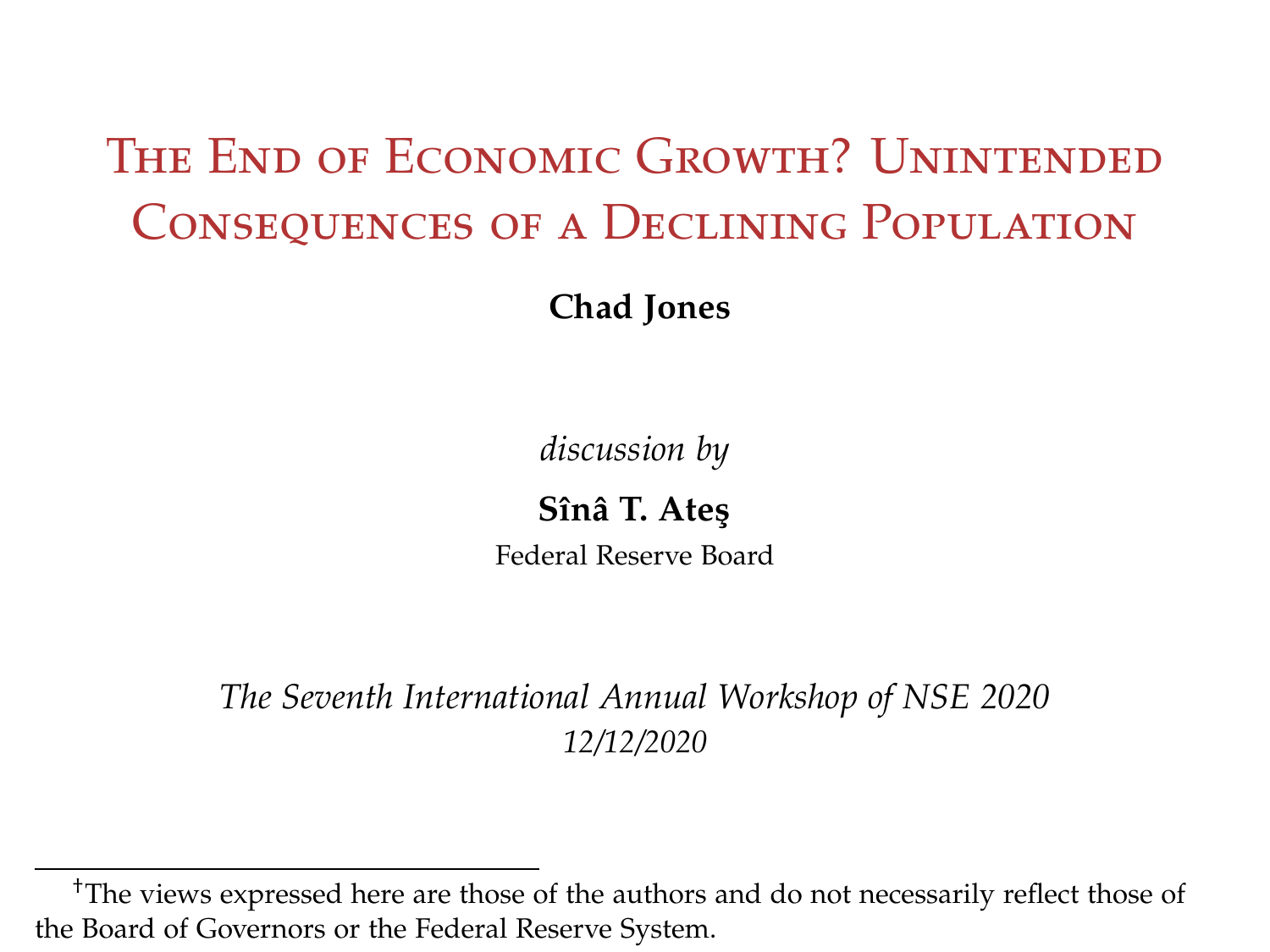## The End of Economic Growth? Unintended Consequences of a Declining Population

**Chad Jones**

*discussion by*

**Sînâ T. Ate¸s** Federal Reserve Board

*The Seventh International Annual Workshop of NSE 2020 12/12/2020*

<sup>†</sup>The views expressed here are those of the authors and do not necessarily reflect those of the Board of Governors or the Federal Reserve System.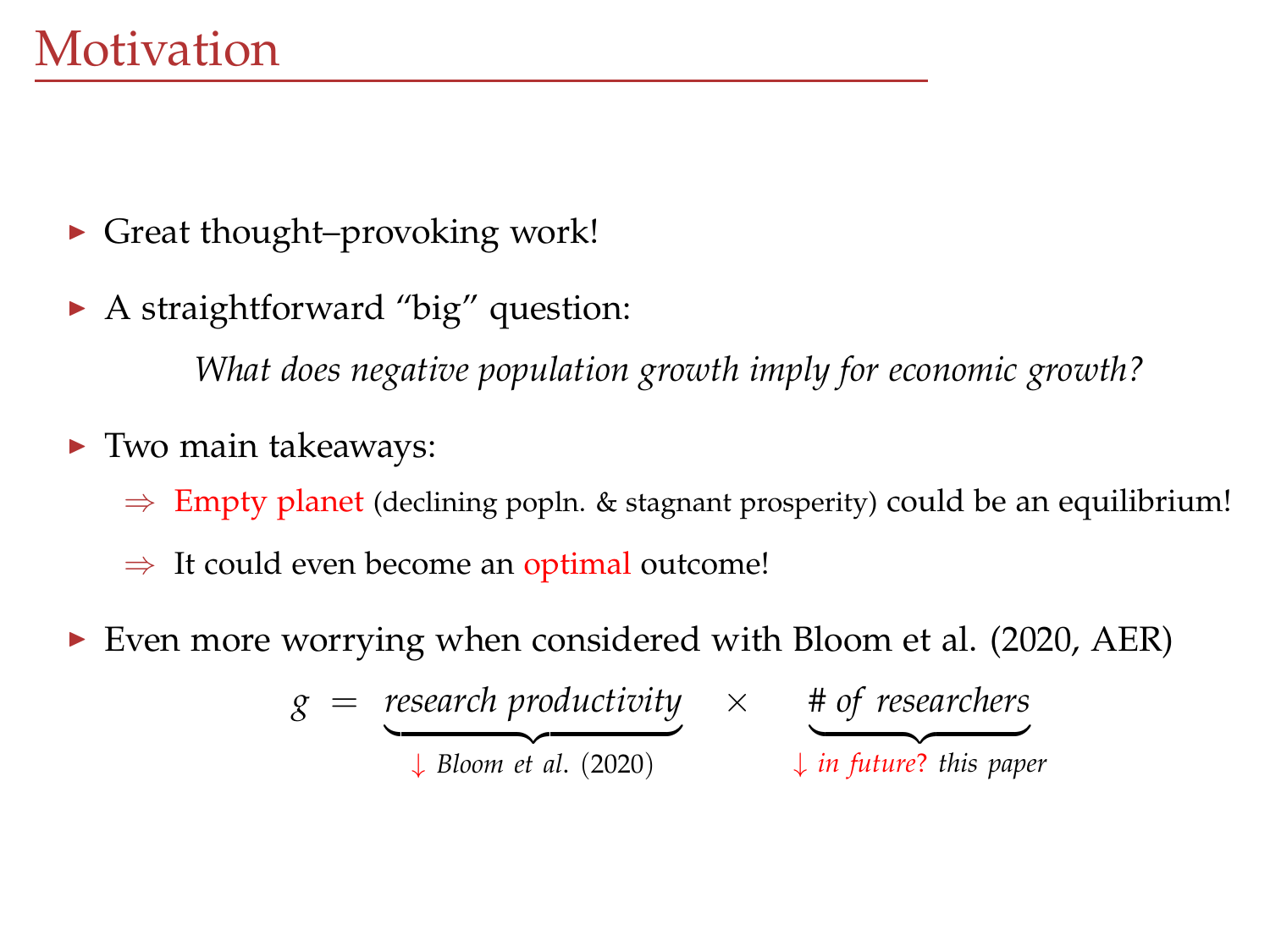- $\triangleright$  Great thought–provoking work!
- $\blacktriangleright$  A straightforward "big" question:

*What does negative population growth imply for economic growth?*

- $\blacktriangleright$  Two main takeaways:
	- $\Rightarrow$  Empty planet (declining popln. & stagnant prosperity) could be an equilibrium!
	- $\Rightarrow$  It could even become an optimal outcome!
- Even more worrying when considered with Bloom et al.  $(2020, AER)$

$$
g = \underbrace{\text{research productivity}}_{\downarrow \text{ Bloom et al. (2020)}} \times \underbrace{\text{# of researchers}}_{\downarrow \text{ in future? this paper}}
$$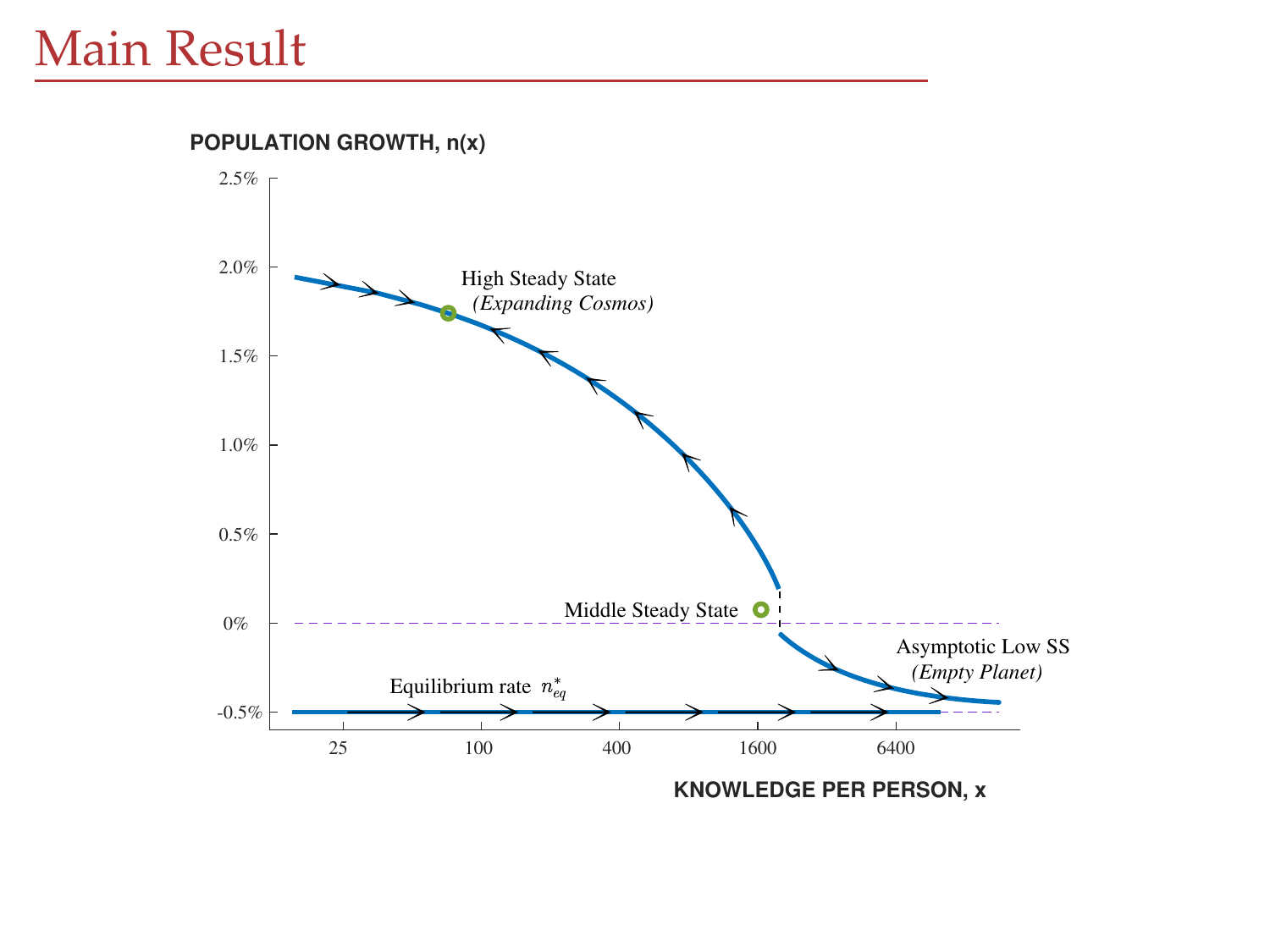2.0% 2.5% High Steady State **POPULATION GROWTH, n(x)**

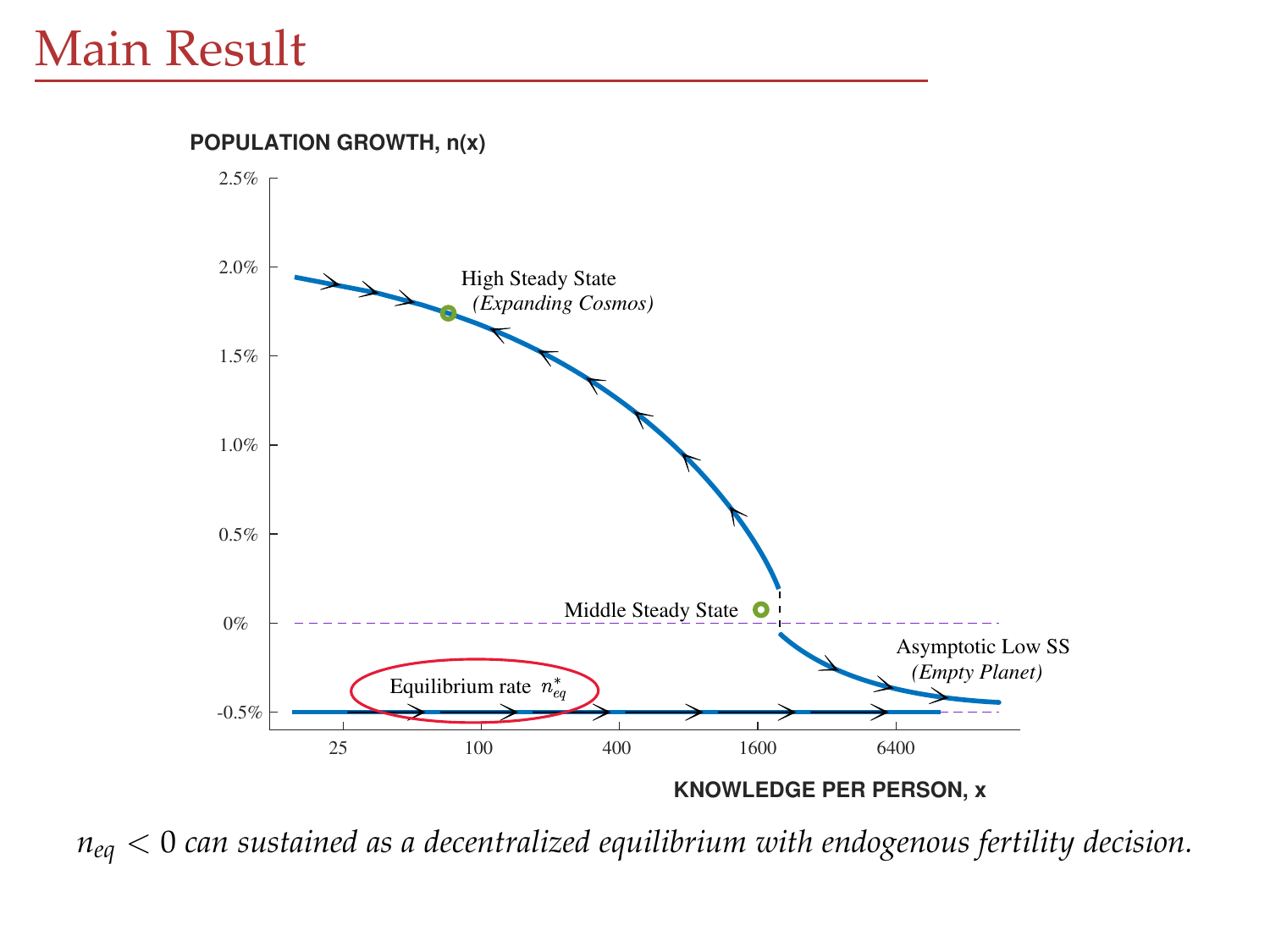25 100 400 1600 6400 -0.5% 0% 0.5% 1.0% 1.5% 2.0% 2.5% High Steady State *(Expanding Cosmos)* Middle Steady State O Equilibrium rate  $n_{eq}^{*}$ Asymptotic Low SS *(Empty Planet)* **POPULATION GROWTH, n(x)**

**KNOWLEDGE PER PERSON, x**

*neq* < 0 *can sustained as a decentralized equilibrium with endogenous fertility decision.*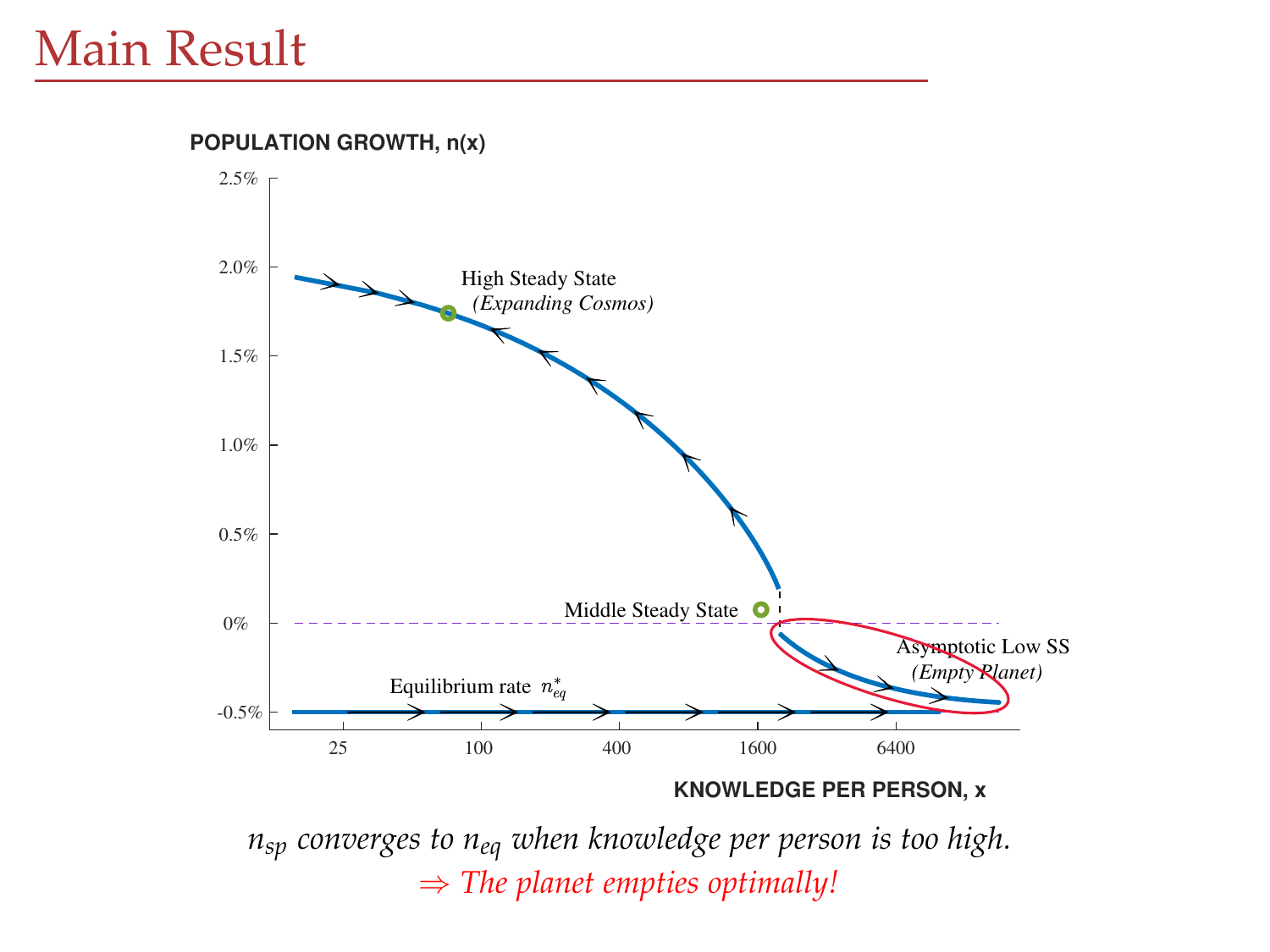-0.5% 0% 0.5% 1.0% 1.5% 2.0% 2.5% High Steady State *(Expanding Cosmos)* Middle Steady State O Equilibrium rate  $n_{eq}^{*}$ Asymptotic Low SS *(Empty Planet)* **POPULATION GROWTH, n(x)**

**KNOWLEDGE PER PERSON, x**

*nsp converges to neq when knowledge per person is too high.* ⇒ *The planet empties optimally!*

25 100 400 1600 6400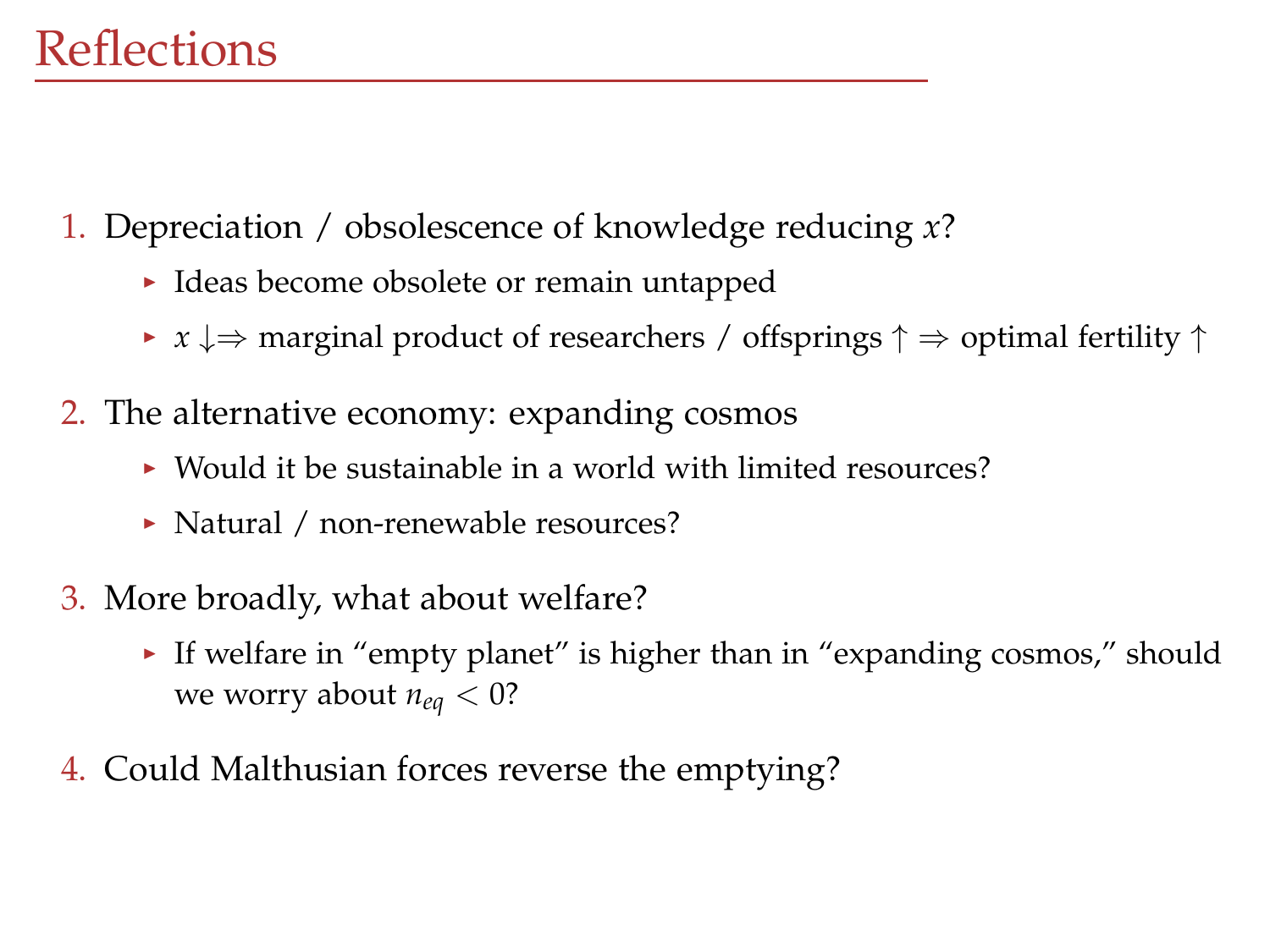## **Reflections**

- 1. Depreciation / obsolescence of knowledge reducing *x*?
	- $\blacktriangleright$  Ideas become obsolete or remain untapped
	- $\triangleright$  *x*  $\downarrow$   $\Rightarrow$  marginal product of researchers / offsprings  $\uparrow$   $\Rightarrow$  optimal fertility  $\uparrow$
- 2. The alternative economy: expanding cosmos
	- $\triangleright$  Would it be sustainable in a world with limited resources?
	- ▶ Natural / non-renewable resources?
- 3. More broadly, what about welfare?
	- If welfare in "empty planet" is higher than in "expanding cosmos," should we worry about  $n_{eq}$  < 0?
- 4. Could Malthusian forces reverse the emptying?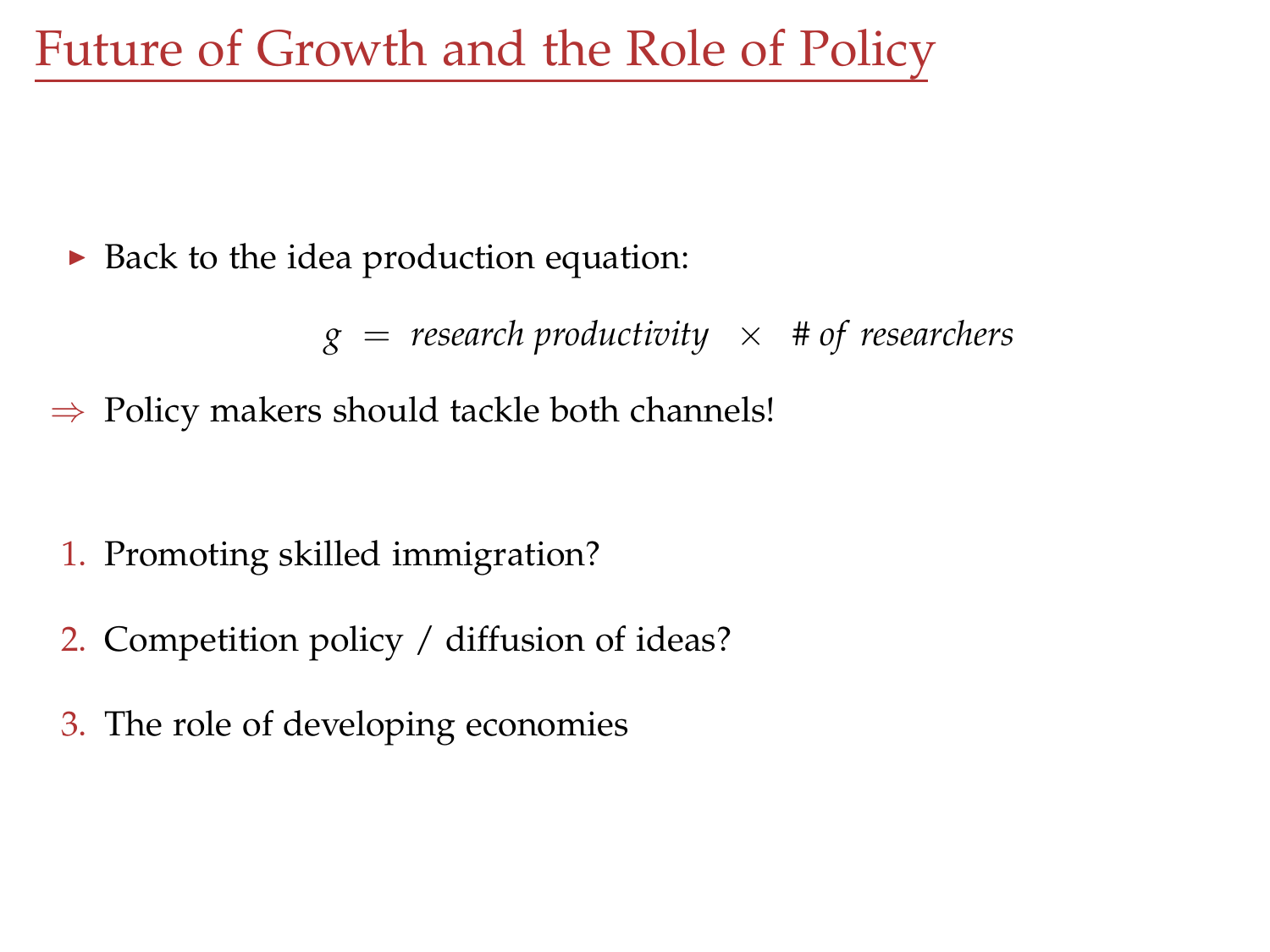Future of Growth and the Role of Policy

 $\triangleright$  Back to the idea production equation:

 $g =$  *research productivity*  $\times$  # *of researchers* 

 $\Rightarrow$  Policy makers should tackle both channels!

- 1. Promoting skilled immigration?
- 2. Competition policy / diffusion of ideas?
- 3. The role of developing economies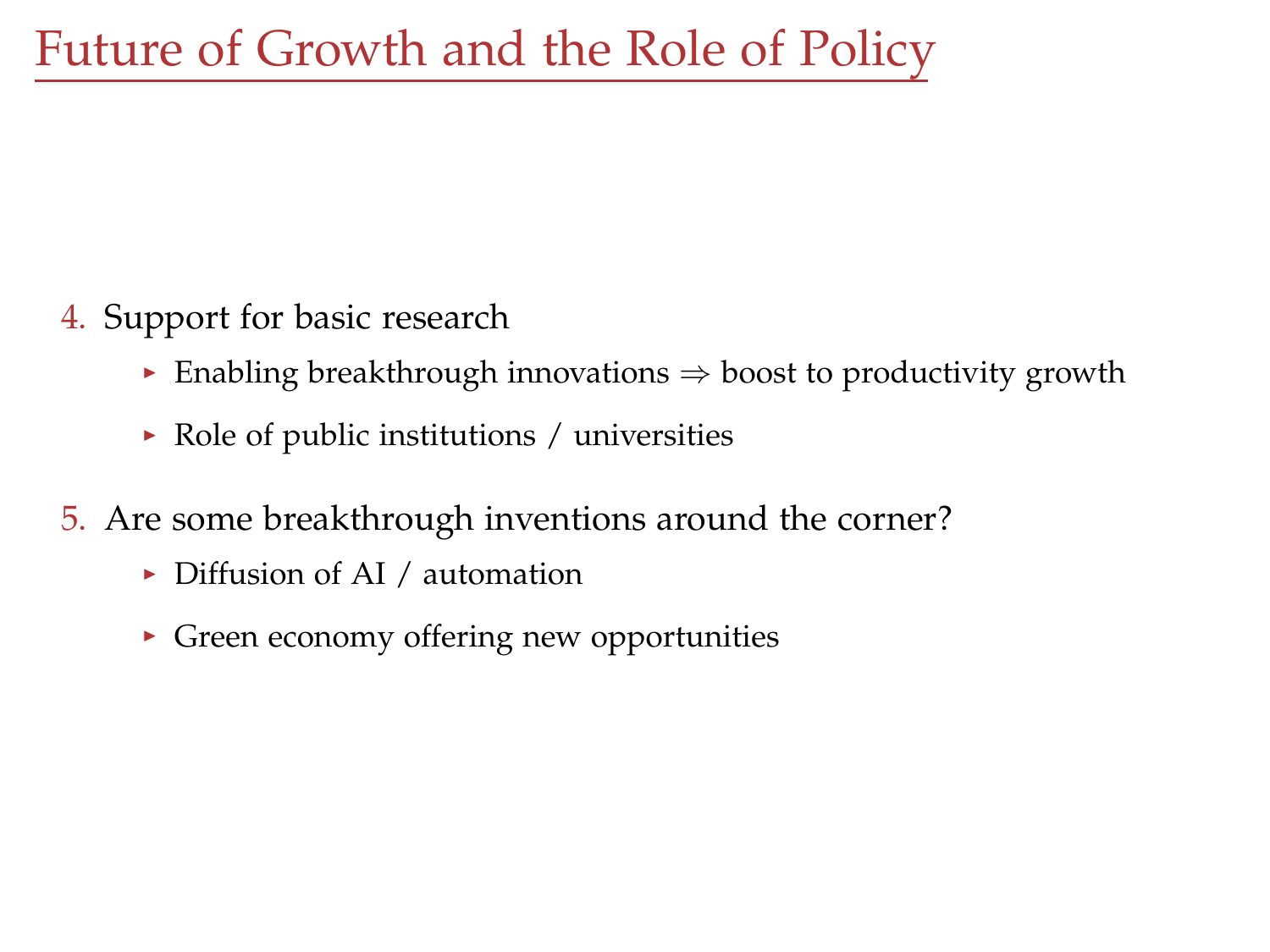- 4. Support for basic research
	- $\triangleright$  Enabling breakthrough innovations  $\Rightarrow$  boost to productivity growth
	- $\triangleright$  Role of public institutions / universities
- 5. Are some breakthrough inventions around the corner?
	- $\triangleright$  Diffusion of AI / automation
	- $\blacktriangleright$  Green economy offering new opportunities